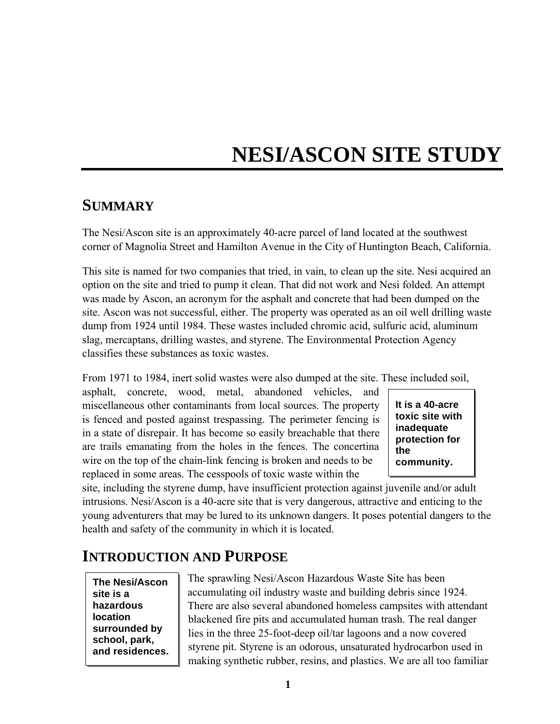# **NESI/ASCON SITE STUDY**

### **SUMMARY**

The Nesi/Ascon site is an approximately 40-acre parcel of land located at the southwest corner of Magnolia Street and Hamilton Avenue in the City of Huntington Beach, California.

This site is named for two companies that tried, in vain, to clean up the site. Nesi acquired an option on the site and tried to pump it clean. That did not work and Nesi folded. An attempt was made by Ascon, an acronym for the asphalt and concrete that had been dumped on the site. Ascon was not successful, either. The property was operated as an oil well drilling waste dump from 1924 until 1984. These wastes included chromic acid, sulfuric acid, aluminum slag, mercaptans, drilling wastes, and styrene. The Environmental Protection Agency classifies these substances as toxic wastes.

From 1971 to 1984, inert solid wastes were also dumped at the site. These included soil,

asphalt, concrete, wood, metal, abandoned vehicles, and miscellaneous other contaminants from local sources. The property is fenced and posted against trespassing. The perimeter fencing is in a state of disrepair. It has become so easily breachable that there are trails emanating from the holes in the fences. The concertina wire on the top of the chain-link fencing is broken and needs to be replaced in some areas. The cesspools of toxic waste within the

**It is a 40-acre toxic site with inadequate protection for the community.**

site, including the styrene dump, have insufficient protection against juvenile and/or adult intrusions. Nesi/Ascon is a 40-acre site that is very dangerous, attractive and enticing to the young adventurers that may be lured to its unknown dangers. It poses potential dangers to the health and safety of the community in which it is located.

### **INTRODUCTION AND PURPOSE**

**The Nesi/Ascon site is a hazardous location surrounded by school, park, and residences.** The sprawling Nesi/Ascon Hazardous Waste Site has been accumulating oil industry waste and building debris since 1924. There are also several abandoned homeless campsites with attendant blackened fire pits and accumulated human trash. The real danger lies in the three 25-foot-deep oil/tar lagoons and a now covered styrene pit. Styrene is an odorous, unsaturated hydrocarbon used in making synthetic rubber, resins, and plastics. We are all too familiar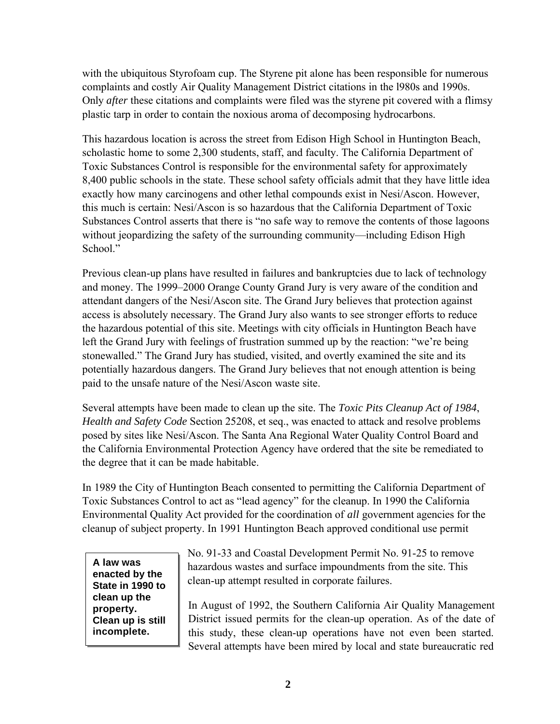with the ubiquitous Styrofoam cup. The Styrene pit alone has been responsible for numerous complaints and costly Air Quality Management District citations in the l980s and 1990s. Only *after* these citations and complaints were filed was the styrene pit covered with a flimsy plastic tarp in order to contain the noxious aroma of decomposing hydrocarbons.

This hazardous location is across the street from Edison High School in Huntington Beach, scholastic home to some 2,300 students, staff, and faculty. The California Department of Toxic Substances Control is responsible for the environmental safety for approximately 8,400 public schools in the state. These school safety officials admit that they have little idea exactly how many carcinogens and other lethal compounds exist in Nesi/Ascon. However, this much is certain: Nesi/Ascon is so hazardous that the California Department of Toxic Substances Control asserts that there is "no safe way to remove the contents of those lagoons without jeopardizing the safety of the surrounding community—including Edison High School<sup>"</sup>

Previous clean-up plans have resulted in failures and bankruptcies due to lack of technology and money. The 1999–2000 Orange County Grand Jury is very aware of the condition and attendant dangers of the Nesi/Ascon site. The Grand Jury believes that protection against access is absolutely necessary. The Grand Jury also wants to see stronger efforts to reduce the hazardous potential of this site. Meetings with city officials in Huntington Beach have left the Grand Jury with feelings of frustration summed up by the reaction: "we're being stonewalled." The Grand Jury has studied, visited, and overtly examined the site and its potentially hazardous dangers. The Grand Jury believes that not enough attention is being paid to the unsafe nature of the Nesi/Ascon waste site.

Several attempts have been made to clean up the site. The *Toxic Pits Cleanup Act of 1984*, *Health and Safety Code* Section 25208, et seq., was enacted to attack and resolve problems posed by sites like Nesi/Ascon. The Santa Ana Regional Water Quality Control Board and the California Environmental Protection Agency have ordered that the site be remediated to the degree that it can be made habitable.

In 1989 the City of Huntington Beach consented to permitting the California Department of Toxic Substances Control to act as "lead agency" for the cleanup. In 1990 the California Environmental Quality Act provided for the coordination of *all* government agencies for the cleanup of subject property. In 1991 Huntington Beach approved conditional use permit

**A law was enacted by the State in 1990 to clean up the property. Clean up is still incomplete.**

No. 91-33 and Coastal Development Permit No. 91-25 to remove hazardous wastes and surface impoundments from the site. This clean-up attempt resulted in corporate failures.

In August of 1992, the Southern California Air Quality Management District issued permits for the clean-up operation. As of the date of this study, these clean-up operations have not even been started. Several attempts have been mired by local and state bureaucratic red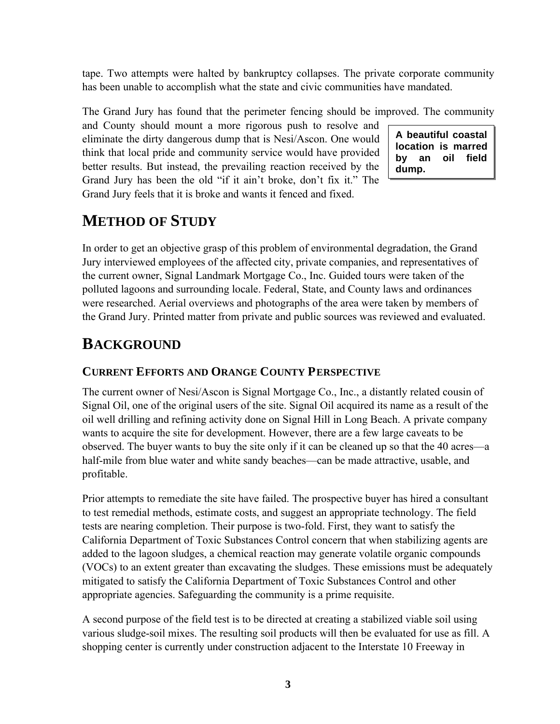tape. Two attempts were halted by bankruptcy collapses. The private corporate community has been unable to accomplish what the state and civic communities have mandated.

The Grand Jury has found that the perimeter fencing should be improved. The community

and County should mount a more rigorous push to resolve and eliminate the dirty dangerous dump that is Nesi/Ascon. One would think that local pride and community service would have provided better results. But instead, the prevailing reaction received by the Grand Jury has been the old "if it ain't broke, don't fix it." The Grand Jury feels that it is broke and wants it fenced and fixed.

**A beautiful coastal location is marred by an oil field dump.**

### **METHOD OF STUDY**

In order to get an objective grasp of this problem of environmental degradation, the Grand Jury interviewed employees of the affected city, private companies, and representatives of the current owner, Signal Landmark Mortgage Co., Inc. Guided tours were taken of the polluted lagoons and surrounding locale. Federal, State, and County laws and ordinances were researched. Aerial overviews and photographs of the area were taken by members of the Grand Jury. Printed matter from private and public sources was reviewed and evaluated.

## **BACKGROUND**

#### **CURRENT EFFORTS AND ORANGE COUNTY PERSPECTIVE**

The current owner of Nesi/Ascon is Signal Mortgage Co., Inc., a distantly related cousin of Signal Oil, one of the original users of the site. Signal Oil acquired its name as a result of the oil well drilling and refining activity done on Signal Hill in Long Beach. A private company wants to acquire the site for development. However, there are a few large caveats to be observed. The buyer wants to buy the site only if it can be cleaned up so that the 40 acres—a half-mile from blue water and white sandy beaches—can be made attractive, usable, and profitable.

Prior attempts to remediate the site have failed. The prospective buyer has hired a consultant to test remedial methods, estimate costs, and suggest an appropriate technology. The field tests are nearing completion. Their purpose is two-fold. First, they want to satisfy the California Department of Toxic Substances Control concern that when stabilizing agents are added to the lagoon sludges, a chemical reaction may generate volatile organic compounds (VOCs) to an extent greater than excavating the sludges. These emissions must be adequately mitigated to satisfy the California Department of Toxic Substances Control and other appropriate agencies. Safeguarding the community is a prime requisite.

A second purpose of the field test is to be directed at creating a stabilized viable soil using various sludge-soil mixes. The resulting soil products will then be evaluated for use as fill. A shopping center is currently under construction adjacent to the Interstate 10 Freeway in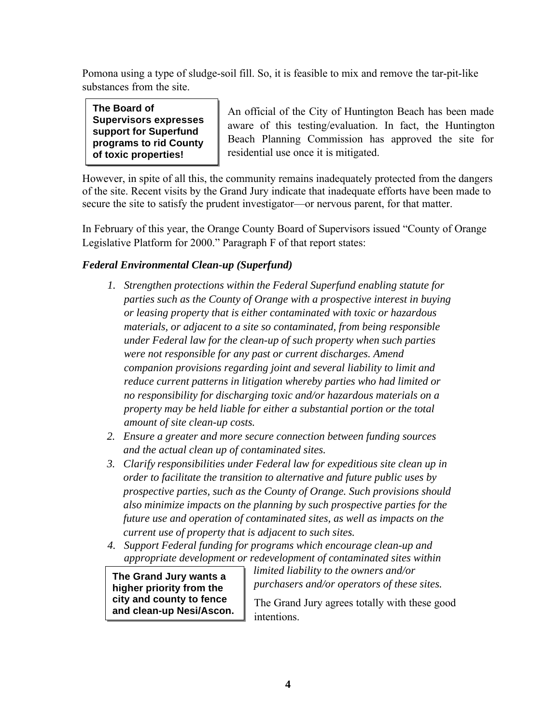Pomona using a type of sludge-soil fill. So, it is feasible to mix and remove the tar-pit-like substances from the site.

**The Board of Supervisors expresses support for Superfund programs to rid County of toxic properties!**

An official of the City of Huntington Beach has been made aware of this testing/evaluation. In fact, the Huntington Beach Planning Commission has approved the site for residential use once it is mitigated.

However, in spite of all this, the community remains inadequately protected from the dangers of the site. Recent visits by the Grand Jury indicate that inadequate efforts have been made to secure the site to satisfy the prudent investigator—or nervous parent, for that matter.

In February of this year, the Orange County Board of Supervisors issued "County of Orange Legislative Platform for 2000." Paragraph F of that report states:

#### *Federal Environmental Clean-up (Superfund)*

- *1. Strengthen protections within the Federal Superfund enabling statute for parties such as the County of Orange with a prospective interest in buying or leasing property that is either contaminated with toxic or hazardous materials, or adjacent to a site so contaminated, from being responsible under Federal law for the clean-up of such property when such parties were not responsible for any past or current discharges. Amend companion provisions regarding joint and several liability to limit and reduce current patterns in litigation whereby parties who had limited or no responsibility for discharging toxic and/or hazardous materials on a property may be held liable for either a substantial portion or the total amount of site clean-up costs.*
- *2. Ensure a greater and more secure connection between funding sources and the actual clean up of contaminated sites.*
- *3. Clarify responsibilities under Federal law for expeditious site clean up in order to facilitate the transition to alternative and future public uses by prospective parties, such as the County of Orange. Such provisions should also minimize impacts on the planning by such prospective parties for the future use and operation of contaminated sites, as well as impacts on the current use of property that is adjacent to such sites.*
- *4. Support Federal funding for programs which encourage clean-up and appropriate development or redevelopment of contaminated sites within*

**The Grand Jury wants a higher priority from the city and county to fence and clean-up Nesi/Ascon.** *limited liability to the owners and/or purchasers and/or operators of these sites.*

The Grand Jury agrees totally with these good intentions.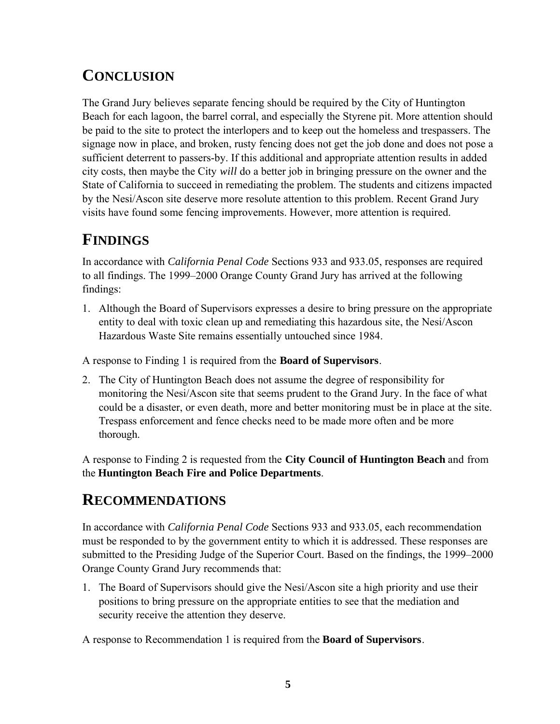# **CONCLUSION**

The Grand Jury believes separate fencing should be required by the City of Huntington Beach for each lagoon, the barrel corral, and especially the Styrene pit. More attention should be paid to the site to protect the interlopers and to keep out the homeless and trespassers. The signage now in place, and broken, rusty fencing does not get the job done and does not pose a sufficient deterrent to passers-by. If this additional and appropriate attention results in added city costs, then maybe the City *will* do a better job in bringing pressure on the owner and the State of California to succeed in remediating the problem. The students and citizens impacted by the Nesi/Ascon site deserve more resolute attention to this problem. Recent Grand Jury visits have found some fencing improvements. However, more attention is required.

### **FINDINGS**

In accordance with *California Penal Code* Sections 933 and 933.05, responses are required to all findings. The 1999–2000 Orange County Grand Jury has arrived at the following findings:

1. Although the Board of Supervisors expresses a desire to bring pressure on the appropriate entity to deal with toxic clean up and remediating this hazardous site, the Nesi/Ascon Hazardous Waste Site remains essentially untouched since 1984.

A response to Finding 1 is required from the **Board of Supervisors**.

2. The City of Huntington Beach does not assume the degree of responsibility for monitoring the Nesi/Ascon site that seems prudent to the Grand Jury. In the face of what could be a disaster, or even death, more and better monitoring must be in place at the site. Trespass enforcement and fence checks need to be made more often and be more thorough.

A response to Finding 2 is requested from the **City Council of Huntington Beach** and from the **Huntington Beach Fire and Police Departments**.

### **RECOMMENDATIONS**

In accordance with *California Penal Code* Sections 933 and 933.05, each recommendation must be responded to by the government entity to which it is addressed. These responses are submitted to the Presiding Judge of the Superior Court. Based on the findings, the 1999–2000 Orange County Grand Jury recommends that:

1. The Board of Supervisors should give the Nesi/Ascon site a high priority and use their positions to bring pressure on the appropriate entities to see that the mediation and security receive the attention they deserve.

A response to Recommendation 1 is required from the **Board of Supervisors**.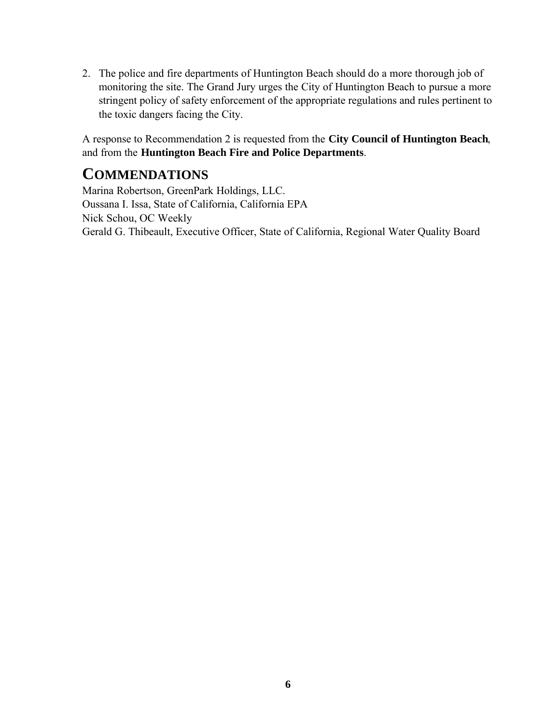2. The police and fire departments of Huntington Beach should do a more thorough job of monitoring the site. The Grand Jury urges the City of Huntington Beach to pursue a more stringent policy of safety enforcement of the appropriate regulations and rules pertinent to the toxic dangers facing the City.

A response to Recommendation 2 is requested from the **City Council of Huntington Beach**, and from the **Huntington Beach Fire and Police Departments**.

### **COMMENDATIONS**

Marina Robertson, GreenPark Holdings, LLC. Oussana I. Issa, State of California, California EPA Nick Schou, OC Weekly Gerald G. Thibeault, Executive Officer, State of California, Regional Water Quality Board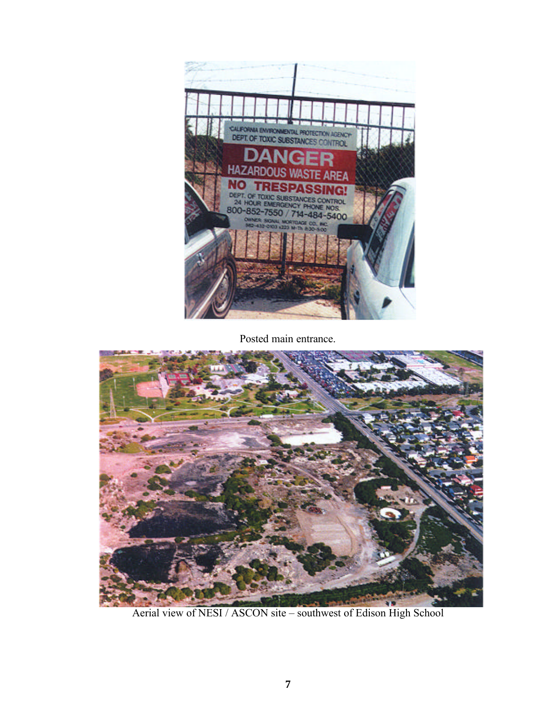

Posted main entrance.



Aerial view of NESI / ASCON site – southwest of Edison High School